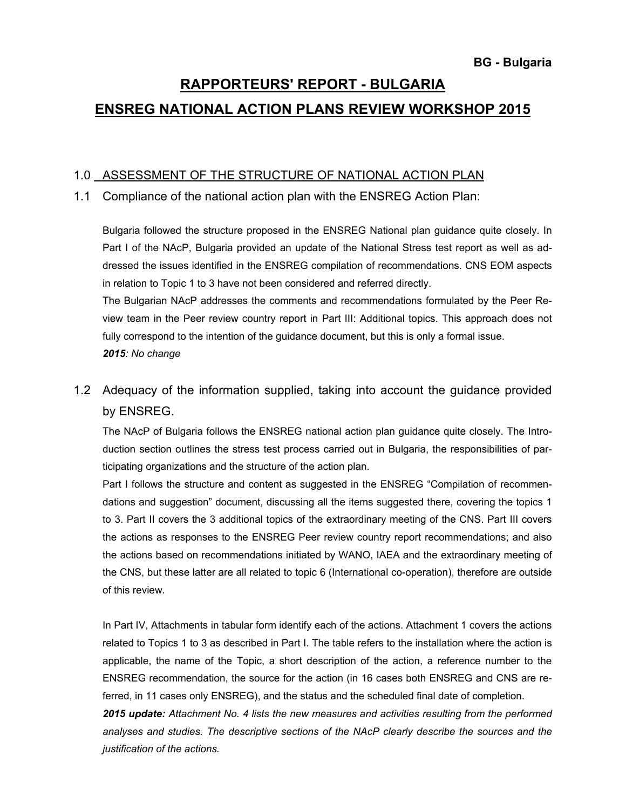# **RAPPORTEURS' REPORT - BULGARIA ENSREG NATIONAL ACTION PLANS REVIEW WORKSHOP 2015**

### 1.0 ASSESSMENT OF THE STRUCTURE OF NATIONAL ACTION PLAN

### 1.1 Compliance of the national action plan with the ENSREG Action Plan:

Bulgaria followed the structure proposed in the ENSREG National plan guidance quite closely. In Part I of the NAcP, Bulgaria provided an update of the National Stress test report as well as addressed the issues identified in the ENSREG compilation of recommendations. CNS EOM aspects in relation to Topic 1 to 3 have not been considered and referred directly.

 The Bulgarian NAcP addresses the comments and recommendations formulated by the Peer Review team in the Peer review country report in Part III: Additional topics. This approach does not fully correspond to the intention of the guidance document, but this is only a formal issue. *2015: No change* 

1.2 Adequacy of the information supplied, taking into account the guidance provided by ENSREG.

 The NAcP of Bulgaria follows the ENSREG national action plan guidance quite closely. The Introduction section outlines the stress test process carried out in Bulgaria, the responsibilities of participating organizations and the structure of the action plan.

Part I follows the structure and content as suggested in the ENSREG "Compilation of recommendations and suggestion" document, discussing all the items suggested there, covering the topics 1 to 3. Part II covers the 3 additional topics of the extraordinary meeting of the CNS. Part III covers the actions as responses to the ENSREG Peer review country report recommendations; and also the actions based on recommendations initiated by WANO, IAEA and the extraordinary meeting of the CNS, but these latter are all related to topic 6 (International co-operation), therefore are outside of this review.

In Part IV, Attachments in tabular form identify each of the actions. Attachment 1 covers the actions related to Topics 1 to 3 as described in Part I. The table refers to the installation where the action is applicable, the name of the Topic, a short description of the action, a reference number to the ENSREG recommendation, the source for the action (in 16 cases both ENSREG and CNS are referred, in 11 cases only ENSREG), and the status and the scheduled final date of completion.

*2015 update: Attachment No. 4 lists the new measures and activities resulting from the performed analyses and studies. The descriptive sections of the NAcP clearly describe the sources and the justification of the actions.*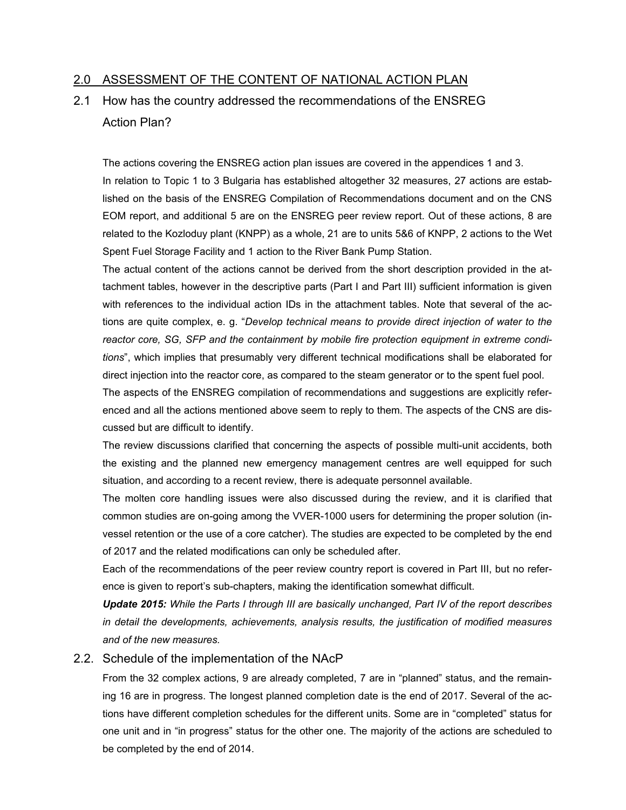### 2.0 ASSESSMENT OF THE CONTENT OF NATIONAL ACTION PLAN

# 2.1 How has the country addressed the recommendations of the ENSREG Action Plan?

The actions covering the ENSREG action plan issues are covered in the appendices 1 and 3. In relation to Topic 1 to 3 Bulgaria has established altogether 32 measures, 27 actions are established on the basis of the ENSREG Compilation of Recommendations document and on the CNS EOM report, and additional 5 are on the ENSREG peer review report. Out of these actions, 8 are related to the Kozloduy plant (KNPP) as a whole, 21 are to units 5&6 of KNPP, 2 actions to the Wet Spent Fuel Storage Facility and 1 action to the River Bank Pump Station.

The actual content of the actions cannot be derived from the short description provided in the attachment tables, however in the descriptive parts (Part I and Part III) sufficient information is given with references to the individual action IDs in the attachment tables. Note that several of the actions are quite complex, e. g. "*Develop technical means to provide direct injection of water to the reactor core, SG, SFP and the containment by mobile fire protection equipment in extreme conditions*", which implies that presumably very different technical modifications shall be elaborated for direct injection into the reactor core, as compared to the steam generator or to the spent fuel pool.

The aspects of the ENSREG compilation of recommendations and suggestions are explicitly referenced and all the actions mentioned above seem to reply to them. The aspects of the CNS are discussed but are difficult to identify.

The review discussions clarified that concerning the aspects of possible multi-unit accidents, both the existing and the planned new emergency management centres are well equipped for such situation, and according to a recent review, there is adequate personnel available.

The molten core handling issues were also discussed during the review, and it is clarified that common studies are on-going among the VVER-1000 users for determining the proper solution (invessel retention or the use of a core catcher). The studies are expected to be completed by the end of 2017 and the related modifications can only be scheduled after.

Each of the recommendations of the peer review country report is covered in Part III, but no reference is given to report's sub-chapters, making the identification somewhat difficult.

*Update 2015: While the Parts I through III are basically unchanged, Part IV of the report describes in detail the developments, achievements, analysis results, the justification of modified measures and of the new measures.* 

#### 2.2. Schedule of the implementation of the NAcP

 From the 32 complex actions, 9 are already completed, 7 are in "planned" status, and the remaining 16 are in progress. The longest planned completion date is the end of 2017. Several of the actions have different completion schedules for the different units. Some are in "completed" status for one unit and in "in progress" status for the other one. The majority of the actions are scheduled to be completed by the end of 2014.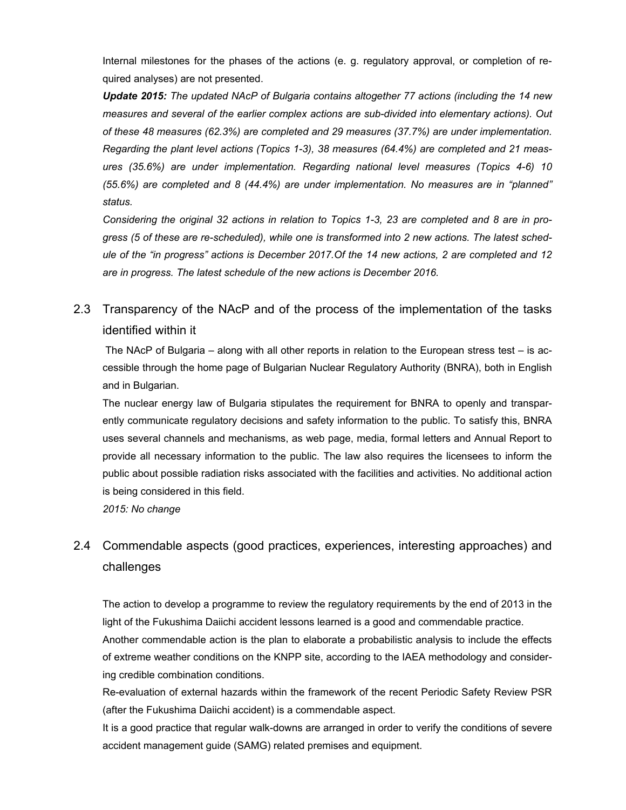Internal milestones for the phases of the actions (e. g. regulatory approval, or completion of required analyses) are not presented.

*Update 2015: The updated NAcP of Bulgaria contains altogether 77 actions (including the 14 new measures and several of the earlier complex actions are sub-divided into elementary actions). Out of these 48 measures (62.3%) are completed and 29 measures (37.7%) are under implementation. Regarding the plant level actions (Topics 1-3), 38 measures (64.4%) are completed and 21 measures (35.6%) are under implementation. Regarding national level measures (Topics 4-6) 10 (55.6%) are completed and 8 (44.4%) are under implementation. No measures are in "planned" status.* 

*Considering the original 32 actions in relation to Topics 1-3, 23 are completed and 8 are in progress (5 of these are re-scheduled), while one is transformed into 2 new actions. The latest schedule of the "in progress" actions is December 2017.Of the 14 new actions, 2 are completed and 12 are in progress. The latest schedule of the new actions is December 2016.* 

# 2.3 Transparency of the NAcP and of the process of the implementation of the tasks identified within it

 The NAcP of Bulgaria – along with all other reports in relation to the European stress test – is accessible through the home page of Bulgarian Nuclear Regulatory Authority (BNRA), both in English and in Bulgarian.

The nuclear energy law of Bulgaria stipulates the requirement for BNRA to openly and transparently communicate regulatory decisions and safety information to the public. To satisfy this, BNRA uses several channels and mechanisms, as web page, media, formal letters and Annual Report to provide all necessary information to the public. The law also requires the licensees to inform the public about possible radiation risks associated with the facilities and activities. No additional action is being considered in this field.

*2015: No change* 

# 2.4 Commendable aspects (good practices, experiences, interesting approaches) and challenges

The action to develop a programme to review the regulatory requirements by the end of 2013 in the light of the Fukushima Daiichi accident lessons learned is a good and commendable practice.

Another commendable action is the plan to elaborate a probabilistic analysis to include the effects of extreme weather conditions on the KNPP site, according to the IAEA methodology and considering credible combination conditions.

Re-evaluation of external hazards within the framework of the recent Periodic Safety Review PSR (after the Fukushima Daiichi accident) is a commendable aspect.

It is a good practice that regular walk-downs are arranged in order to verify the conditions of severe accident management guide (SAMG) related premises and equipment.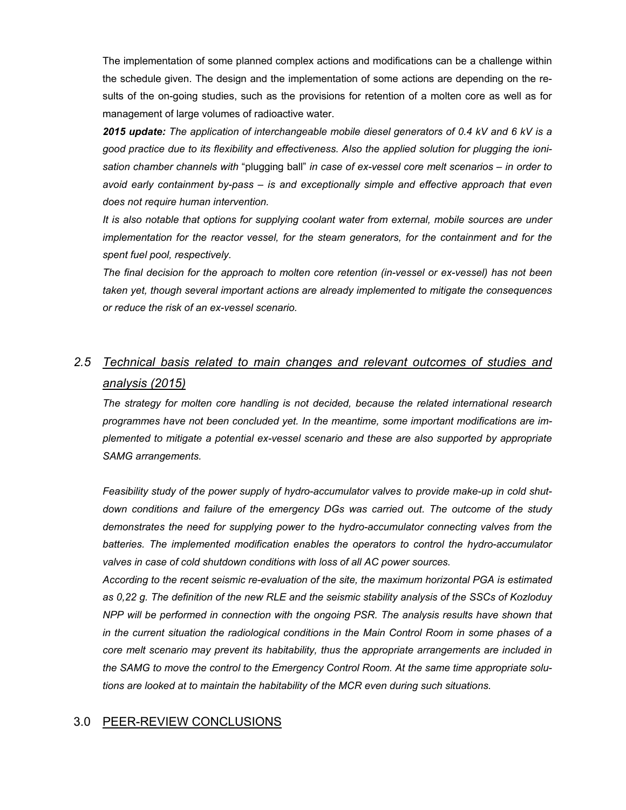The implementation of some planned complex actions and modifications can be a challenge within the schedule given. The design and the implementation of some actions are depending on the results of the on-going studies, such as the provisions for retention of a molten core as well as for management of large volumes of radioactive water.

*2015 update: The application of interchangeable mobile diesel generators of 0.4 kV and 6 kV is a good practice due to its flexibility and effectiveness. Also the applied solution for plugging the ionisation chamber channels with* "plugging ball" *in case of ex-vessel core melt scenarios – in order to avoid early containment by-pass – is and exceptionally simple and effective approach that even does not require human intervention.* 

*It is also notable that options for supplying coolant water from external, mobile sources are under implementation for the reactor vessel, for the steam generators, for the containment and for the spent fuel pool, respectively.* 

*The final decision for the approach to molten core retention (in-vessel or ex-vessel) has not been taken yet, though several important actions are already implemented to mitigate the consequences or reduce the risk of an ex-vessel scenario.* 

## *2.5 Technical basis related to main changes and relevant outcomes of studies and analysis (2015)*

*The strategy for molten core handling is not decided, because the related international research programmes have not been concluded yet. In the meantime, some important modifications are implemented to mitigate a potential ex-vessel scenario and these are also supported by appropriate SAMG arrangements.* 

*Feasibility study of the power supply of hydro-accumulator valves to provide make-up in cold shutdown conditions and failure of the emergency DGs was carried out. The outcome of the study demonstrates the need for supplying power to the hydro-accumulator connecting valves from the batteries. The implemented modification enables the operators to control the hydro-accumulator valves in case of cold shutdown conditions with loss of all AC power sources.* 

*According to the recent seismic re-evaluation of the site, the maximum horizontal PGA is estimated as 0,22 g. The definition of the new RLE and the seismic stability analysis of the SSCs of Kozloduy NPP will be performed in connection with the ongoing PSR. The analysis results have shown that in the current situation the radiological conditions in the Main Control Room in some phases of a core melt scenario may prevent its habitability, thus the appropriate arrangements are included in the SAMG to move the control to the Emergency Control Room. At the same time appropriate solutions are looked at to maintain the habitability of the MCR even during such situations.* 

### 3.0 PEER-REVIEW CONCLUSIONS